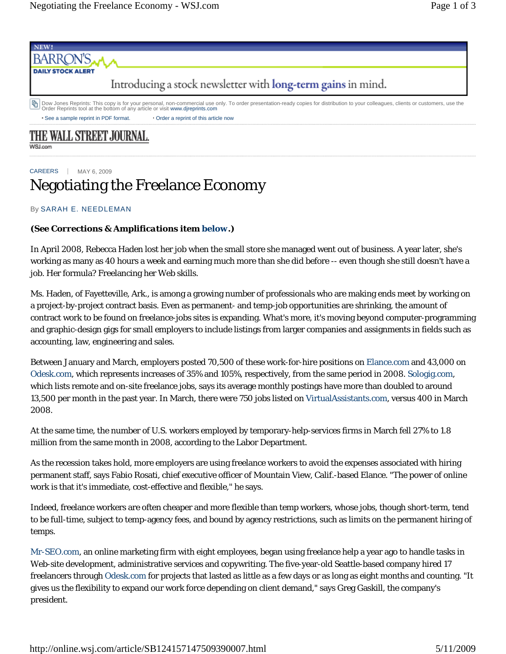

CAREERS | MAY 6, 2009

# Negotiating the Freelance Economy

### By SARAH E. NEEDLEMAN

## *(See Corrections & Amplifications item below.)*

In April 2008, Rebecca Haden lost her job when the small store she managed went out of business. A year later, she's working as many as 40 hours a week and earning much more than she did before -- even though she still doesn't have a job. Her formula? Freelancing her Web skills.

Ms. Haden, of Fayetteville, Ark., is among a growing number of professionals who are making ends meet by working on a project-by-project contract basis. Even as permanent- and temp-job opportunities are shrinking, the amount of contract work to be found on freelance-jobs sites is expanding. What's more, it's moving beyond computer-programming and graphic-design gigs for small employers to include listings from larger companies and assignments in fields such as accounting, law, engineering and sales.

Between January and March, employers posted 70,500 of these work-for-hire positions on Elance.com and 43,000 on Odesk.com, which represents increases of 35% and 105%, respectively, from the same period in 2008. Sologig.com, which lists remote and on-site freelance jobs, says its average monthly postings have more than doubled to around 13,500 per month in the past year. In March, there were 750 jobs listed on VirtualAssistants.com, versus 400 in March 2008.

At the same time, the number of U.S. workers employed by temporary-help-services firms in March fell 27% to 1.8 million from the same month in 2008, according to the Labor Department.

As the recession takes hold, more employers are using freelance workers to avoid the expenses associated with hiring permanent staff, says Fabio Rosati, chief executive officer of Mountain View, Calif.-based Elance. "The power of online work is that it's immediate, cost-effective and flexible," he says.

Indeed, freelance workers are often cheaper and more flexible than temp workers, whose jobs, though short-term, tend to be full-time, subject to temp-agency fees, and bound by agency restrictions, such as limits on the permanent hiring of temps.

Mr-SEO.com, an online marketing firm with eight employees, began using freelance help a year ago to handle tasks in Web-site development, administrative services and copywriting. The five-year-old Seattle-based company hired 17 freelancers through Odesk.com for projects that lasted as little as a few days or as long as eight months and counting. "It gives us the flexibility to expand our work force depending on client demand," says Greg Gaskill, the company's president.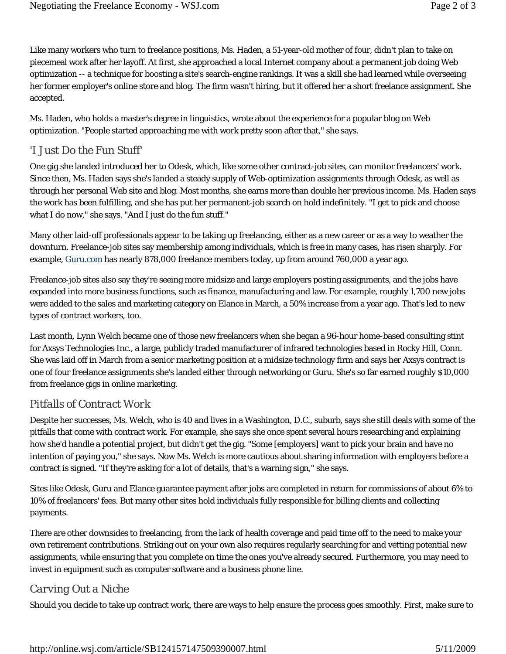Like many workers who turn to freelance positions, Ms. Haden, a 51-year-old mother of four, didn't plan to take on piecemeal work after her layoff. At first, she approached a local Internet company about a permanent job doing Web optimization -- a technique for boosting a site's search-engine rankings. It was a skill she had learned while overseeing her former employer's online store and blog. The firm wasn't hiring, but it offered her a short freelance assignment. She accepted.

Ms. Haden, who holds a master's degree in linguistics, wrote about the experience for a popular blog on Web optimization. "People started approaching me with work pretty soon after that," she says.

## *'I Just Do the Fun Stuff'*

One gig she landed introduced her to Odesk, which, like some other contract-job sites, can monitor freelancers' work. Since then, Ms. Haden says she's landed a steady supply of Web-optimization assignments through Odesk, as well as through her personal Web site and blog. Most months, she earns more than double her previous income. Ms. Haden says the work has been fulfilling, and she has put her permanent-job search on hold indefinitely. "I get to pick and choose what I do now," she says. "And I just do the fun stuff."

Many other laid-off professionals appear to be taking up freelancing, either as a new career or as a way to weather the downturn. Freelance-job sites say membership among individuals, which is free in many cases, has risen sharply. For example, Guru.com has nearly 878,000 freelance members today, up from around 760,000 a year ago.

Freelance-job sites also say they're seeing more midsize and large employers posting assignments, and the jobs have expanded into more business functions, such as finance, manufacturing and law. For example, roughly 1,700 new jobs were added to the sales and marketing category on Elance in March, a 50% increase from a year ago. That's led to new types of contract workers, too.

Last month, Lynn Welch became one of those new freelancers when she began a 96-hour home-based consulting stint for Axsys Technologies Inc., a large, publicly traded manufacturer of infrared technologies based in Rocky Hill, Conn. She was laid off in March from a senior marketing position at a midsize technology firm and says her Axsys contract is one of four freelance assignments she's landed either through networking or Guru. She's so far earned roughly \$10,000 from freelance gigs in online marketing.

# *Pitfalls of Contract Work*

Despite her successes, Ms. Welch, who is 40 and lives in a Washington, D.C., suburb, says she still deals with some of the pitfalls that come with contract work. For example, she says she once spent several hours researching and explaining how she'd handle a potential project, but didn't get the gig. "Some [employers] want to pick your brain and have no intention of paying you," she says. Now Ms. Welch is more cautious about sharing information with employers before a contract is signed. "If they're asking for a lot of details, that's a warning sign," she says.

Sites like Odesk, Guru and Elance guarantee payment after jobs are completed in return for commissions of about 6% to 10% of freelancers' fees. But many other sites hold individuals fully responsible for billing clients and collecting payments.

There are other downsides to freelancing, from the lack of health coverage and paid time off to the need to make your own retirement contributions. Striking out on your own also requires regularly searching for and vetting potential new assignments, while ensuring that you complete on time the ones you've already secured. Furthermore, you may need to invest in equipment such as computer software and a business phone line.

# *Carving Out a Niche*

Should you decide to take up contract work, there are ways to help ensure the process goes smoothly. First, make sure to